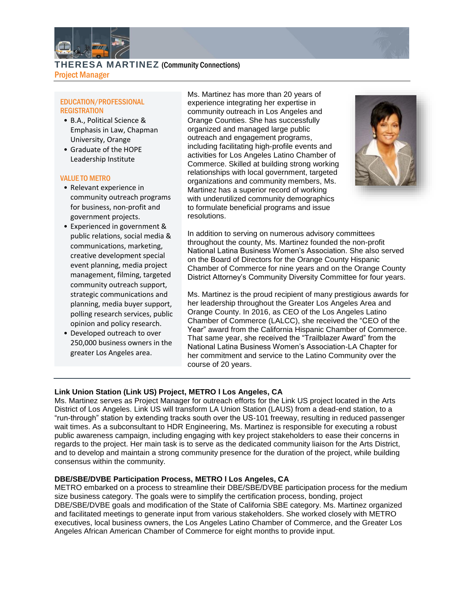

**THERESA MARTINEZ** (Community Connections) Project Manager

# EDUCATION/PROFESSIONAL **REGISTRATION**

- B.A., Political Science & Emphasis in Law, Chapman University, Orange
- Graduate of the HOPE Leadership Institute

#### VALUE TO METRO

- Relevant experience in community outreach programs for business, non-profit and government projects.
- Experienced in government & public relations, social media & communications, marketing, creative development special event planning, media project management, filming, targeted community outreach support, strategic communications and planning, media buyer support, polling research services, public opinion and policy research.
- Developed outreach to over 250,000 business owners in the greater Los Angeles area.

Ms. Martinez has more than 20 years of experience integrating her expertise in community outreach in Los Angeles and Orange Counties. She has successfully organized and managed large public outreach and engagement programs, including facilitating high-profile events and activities for Los Angeles Latino Chamber of Commerce. Skilled at building strong working relationships with local government, targeted organizations and community members, Ms. Martinez has a superior record of working with underutilized community demographics to formulate beneficial programs and issue resolutions.



In addition to serving on numerous advisory committees throughout the county, Ms. Martinez founded the non-profit National Latina Business Women's Association. She also served on the Board of Directors for the Orange County Hispanic Chamber of Commerce for nine years and on the Orange County District Attorney's Community Diversity Committee for four years.

Ms. Martinez is the proud recipient of many prestigious awards for her leadership throughout the Greater Los Angeles Area and Orange County. In 2016, as CEO of the Los Angeles Latino Chamber of Commerce (LALCC), she received the "CEO of the Year" award from the California Hispanic Chamber of Commerce. That same year, she received the "Trailblazer Award" from the National Latina Business Women's Association-LA Chapter for her commitment and service to the Latino Community over the course of 20 years.

# **Link Union Station (Link US) Project, METRO l Los Angeles, CA**

Ms. Martinez serves as Project Manager for outreach efforts for the Link US project located in the Arts District of Los Angeles. Link US will transform LA Union Station (LAUS) from a dead-end station, to a "run-through" station by extending tracks south over the US-101 freeway, resulting in reduced passenger wait times. As a subconsultant to HDR Engineering, Ms. Martinez is responsible for executing a robust public awareness campaign, including engaging with key project stakeholders to ease their concerns in regards to the project. Her main task is to serve as the dedicated community liaison for the Arts District, and to develop and maintain a strong community presence for the duration of the project, while building consensus within the community.

# **DBE/SBE/DVBE Participation Process, METRO l Los Angeles, CA**

METRO embarked on a process to streamline their DBE/SBE/DVBE participation process for the medium size business category. The goals were to simplify the certification process, bonding, project DBE/SBE/DVBE goals and modification of the State of California SBE category. Ms. Martinez organized and facilitated meetings to generate input from various stakeholders. She worked closely with METRO executives, local business owners, the Los Angeles Latino Chamber of Commerce, and the Greater Los Angeles African American Chamber of Commerce for eight months to provide input.